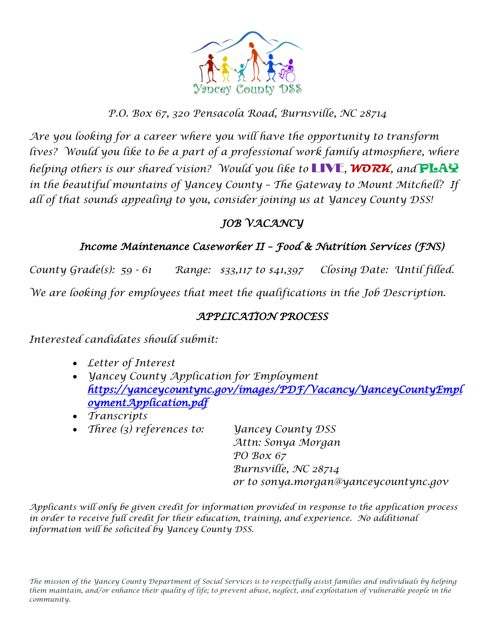

#### *P.O. Box 67, 320 Pensacola Road, Burnsville, NC 28714*

*Are you looking for a career where you will have the opportunity to transform* lives? Would you like to be a part of a professional work family atmosphere, where *helping others is our shared vision? Would you like to* LIVE*,* **WORK***, and* PLAY *in the beautiful mountains of Yancey County – The Gateway to Mount Mitchell? If all of that sounds appealing to you, consider joining us at Yancey County DSS!* 

## *JOB VACANCY*

### *Income Maintenance Caseworker II – Food & Nutrition Services (FNS)*

*County Grade(s): 59 - 61 Range: \$33,117 to \$41,397 Closing Date: Until filled. We are looking for employees that meet the qualifications in the Job Description.*

#### *APPLICATION PROCESS*

*Interested candidates should submit:*

- *Letter of Interest*
- *Yancey County Application for Employment [https://yanceycountync.gov/images/PDF/Vacancy/YanceyCountyEmpl](https://yanceycountync.gov/images/PDF/Vacancy/YanceyCountyEmploymentApplication.pdf) [oymentApplication.pdf](https://yanceycountync.gov/images/PDF/Vacancy/YanceyCountyEmploymentApplication.pdf)*
- *Transcripts*
- *Three (3) references to: Yancey County DSS*

*Attn: Sonya Morgan PO Box 67 Burnsville, NC 28714 or to sonya.morgan@yanceycountync.gov*

*Applicants will only be given credit for information provided in response to the application process in order to receive full credit for their education, training, and experience. No additional information will be solicited by Yancey County DSS.*

*The mission of the Yancey County Department of Social Services is to respectfully assist families and individuals by helping them maintain, and/or enhance their quality of life; to prevent abuse, neglect, and exploitation of vulnerable people in the community.*